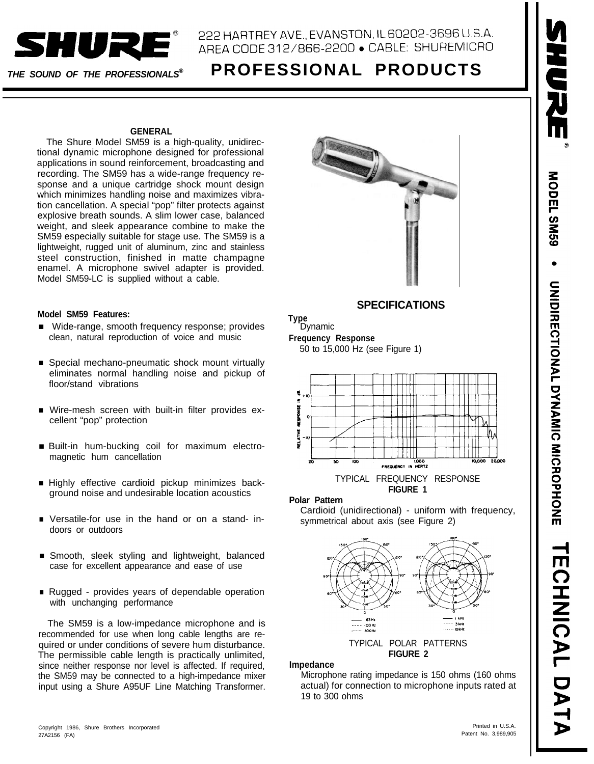

# 222 HARTREY AVE., EVANSTON, IL 60202-3696 U.S.A. ARFA CODE 312/866-2200 · CABLE: SHUREMICRO

# *THE SOUND OF THE PROFESSIONALS®* **PROFESSIONAL PRODUCTS**

#### **GENERAL**

The Shure Model SM59 is a high-quality, unidirectional dynamic microphone designed for professional applications in sound reinforcement, broadcasting and recording. The SM59 has a wide-range frequency response and a unique cartridge shock mount design which minimizes handling noise and maximizes vibration cancellation. A special "pop" filter protects against explosive breath sounds. A slim lower case, balanced weight, and sleek appearance combine to make the SM59 especially suitable for stage use. The SM59 is a lightweight, rugged unit of aluminum, zinc and stainless steel construction, finished in matte champagne enamel. A microphone swivel adapter is provided. Model SM59-LC is supplied without a cable.

#### **Model SM59 Features:**

- Wide-range, smooth frequency response; provides clean, natural reproduction of voice and music
- Special mechano-pneumatic shock mount virtually eliminates normal handling noise and pickup of floor/stand vibrations
- Wire-mesh screen with built-in filter provides excellent "pop" protection
- Built-in hum-bucking coil for maximum electromagnetic hum cancellation
- n Highly effective cardioid pickup minimizes background noise and undesirable location acoustics
- n Versatile-for use in the hand or on a stand- indoors or outdoors
- Smooth, sleek styling and lightweight, balanced case for excellent appearance and ease of use
- Rugged provides years of dependable operation with unchanging performance

The SM59 is a low-impedance microphone and is recommended for use when long cable lengths are required or under conditions of severe hum disturbance. The permissible cable length is practically unlimited, since neither response nor level is affected. If required, the SM59 may be connected to a high-impedance mixer input using a Shure A95UF Line Matching Transformer.



# **SPECIFICATIONS**



50 to 15,000 Hz (see Figure 1)



#### **Polar Pattern**

Cardioid (unidirectional) - uniform with frequency, symmetrical about axis (see Figure 2)



#### **Impedance**

Microphone rating impedance is 150 ohms (160 ohms actual) for connection to microphone inputs rated at 19 to 300 ohms